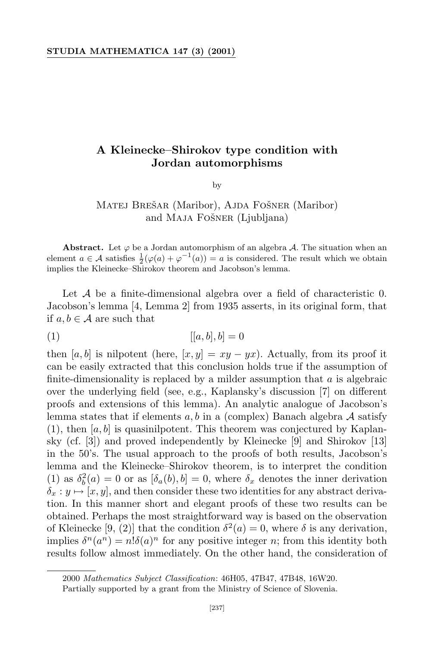## **A Kleinecke–Shirokov type condition with Jordan automorphisms**

by

## MATEJ BREŠAR (Maribor), AJDA FOŠNER (Maribor) and MAJA FOŠNER (Ljubljana)

**Abstract.** Let  $\varphi$  be a Jordan automorphism of an algebra *A*. The situation when an element  $a \in \mathcal{A}$  satisfies  $\frac{1}{2}(\varphi(a) + \varphi^{-1}(a)) = a$  is considered. The result which we obtain implies the Kleinecke–Shirokov theorem and Jacobson's lemma.

Let *A* be a finite-dimensional algebra over a field of characteristic 0. Jacobson's lemma [4, Lemma 2] from 1935 asserts, in its original form, that if  $a, b \in \mathcal{A}$  are such that

$$
[[a,b],b] = 0
$$

then [ $a, b$ ] is nilpotent (here, [ $x, y$ ] =  $xy - yx$ ). Actually, from its proof it can be easily extracted that this conclusion holds true if the assumption of finite-dimensionality is replaced by a milder assumption that *a* is algebraic over the underlying field (see, e.g., Kaplansky's discussion [7] on different proofs and extensions of this lemma). An analytic analogue of Jacobson's lemma states that if elements *a, b* in a (complex) Banach algebra *A* satisfy  $(1)$ , then  $[a, b]$  is quasinilpotent. This theorem was conjectured by Kaplansky (cf. [3]) and proved independently by Kleinecke [9] and Shirokov [13] in the 50's. The usual approach to the proofs of both results, Jacobson's lemma and the Kleinecke–Shirokov theorem, is to interpret the condition (1) as  $\delta_b^2(a) = 0$  or as  $[\delta_a(b), b] = 0$ , where  $\delta_x$  denotes the inner derivation  $\delta_x : y \mapsto [x, y]$ , and then consider these two identities for any abstract derivation. In this manner short and elegant proofs of these two results can be obtained. Perhaps the most straightforward way is based on the observation of Kleinecke [9, (2)] that the condition  $\delta^2(a) = 0$ , where  $\delta$  is any derivation, implies  $\delta^n(a^n) = n! \delta(a)^n$  for any positive integer *n*; from this identity both results follow almost immediately. On the other hand, the consideration of

<sup>2000</sup> *Mathematics Subject Classification*: 46H05, 47B47, 47B48, 16W20.

Partially supported by a grant from the Ministry of Science of Slovenia.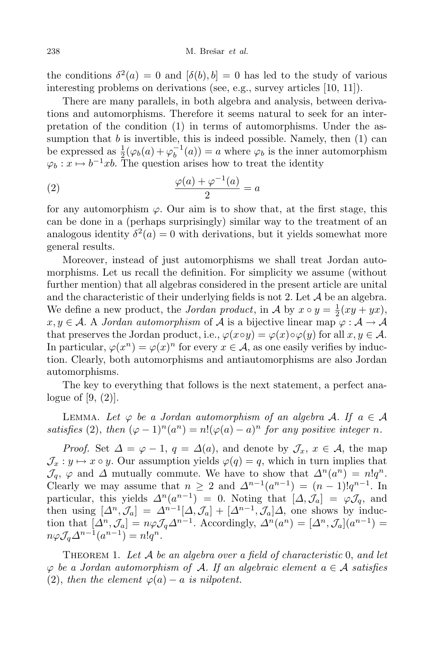the conditions  $\delta^2(a) = 0$  and  $[\delta(b), b] = 0$  has led to the study of various interesting problems on derivations (see, e.g., survey articles [10, 11]).

There are many parallels, in both algebra and analysis, between derivations and automorphisms. Therefore it seems natural to seek for an interpretation of the condition (1) in terms of automorphisms. Under the assumption that  $b$  is invertible, this is indeed possible. Namely, then  $(1)$  can be expressed as  $\frac{1}{2}(\varphi_b(a) + \varphi_b^{-1}(a)) = a$  where  $\varphi_b$  is the inner automorphism  $\varphi_b: x \mapsto b^{-1}xb$ . The question arises how to treat the identity

(2) 
$$
\frac{\varphi(a) + \varphi^{-1}(a)}{2} = a
$$

for any automorphism  $\varphi$ . Our aim is to show that, at the first stage, this can be done in a (perhaps surprisingly) similar way to the treatment of an analogous identity  $\delta^2(a) = 0$  with derivations, but it yields somewhat more general results.

Moreover, instead of just automorphisms we shall treat Jordan automorphisms. Let us recall the definition. For simplicity we assume (without further mention) that all algebras considered in the present article are unital and the characteristic of their underlying fields is not 2. Let  $A$  be an algebra. We define a new product, the *Jordan product*, in *A* by  $x \circ y = \frac{1}{2}$  $rac{1}{2}(xy+yx),$  $x, y \in A$ . A *Jordan automorphism* of *A* is a bijective linear map  $\varphi : A \to A$ that preserves the Jordan product, i.e.,  $\varphi(x \circ y) = \varphi(x) \circ \varphi(y)$  for all  $x, y \in \mathcal{A}$ . In particular,  $\varphi(x^n) = \varphi(x)^n$  for every  $x \in A$ , as one easily verifies by induction. Clearly, both automorphisms and antiautomorphisms are also Jordan automorphisms.

The key to everything that follows is the next statement, a perfect analogue of  $[9, (2)]$ .

LEMMA. Let  $\varphi$  be a Jordan automorphism of an algebra A. If  $a \in \mathcal{A}$ *satisfies* (2), *then*  $(\varphi - 1)^n (a^n) = n! (\varphi(a) - a)^n$  *for any positive integer n.* 

*Proof.* Set  $\Delta = \varphi - 1$ ,  $q = \Delta(a)$ , and denote by  $\mathcal{J}_x$ ,  $x \in \mathcal{A}$ , the map  $\mathcal{J}_x : y \mapsto x \circ y$ . Our assumption yields  $\varphi(q) = q$ , which in turn implies that  $\mathcal{J}_q$ ,  $\varphi$  and  $\varDelta$  mutually commute. We have to show that  $\varDelta^n(a^n) = n!q^n$ . Clearly we may assume that  $n \geq 2$  and  $\Delta^{n-1}(a^{n-1}) = (n-1)!q^{n-1}$ . In particular, this yields  $\Delta^n(a^{n-1}) = 0$ . Noting that  $[\Delta, \mathcal{J}_a] = \varphi \mathcal{J}_q$ , and then using  $[\Delta^n, \mathcal{J}_a] = \Delta^{n-1}[\Delta, \mathcal{J}_a] + [\Delta^{n-1}, \mathcal{J}_a]\Delta$ , one shows by induction that  $[\Delta^n, \mathcal{J}_a] = n\varphi \mathcal{J}_q \Delta^{n-1}$ . Accordingly,  $\Delta^n(a^n) = [\Delta^n, \mathcal{J}_a](a^{n-1}) =$  $n\varphi\mathcal{J}_q\Delta^{n-1}(a^{n-1})=n!q^n.$ 

Theorem 1. *Let A be an algebra over a field of characteristic* 0, *and let ϕ be a Jordan automorphism of A. If an algebraic element a ∈ A satisfies* (2), *then the element*  $\varphi(a) - a$  *is nilpotent.*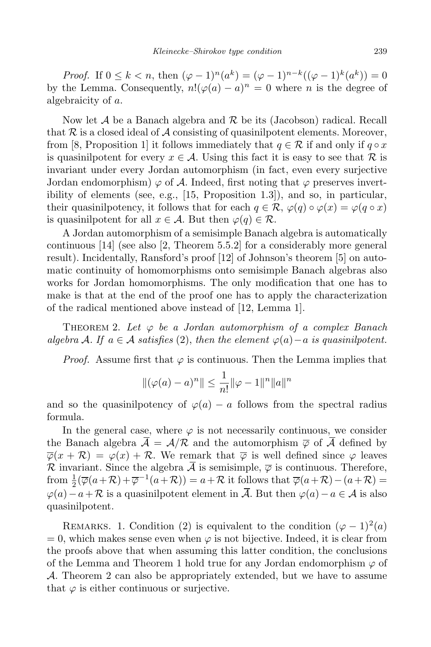*Proof.* If  $0 \leq k < n$ , then  $(\varphi - 1)^n (a^k) = (\varphi - 1)^{n-k} ((\varphi - 1)^k (a^k)) = 0$ by the Lemma. Consequently,  $n!(\varphi(a) - a)^n = 0$  where *n* is the degree of algebraicity of *a*.

Now let *A* be a Banach algebra and *R* be its (Jacobson) radical. Recall that  $R$  is a closed ideal of  $A$  consisting of quasinilpotent elements. Moreover, from [8, Proposition 1] it follows immediately that  $q \in \mathcal{R}$  if and only if  $q \circ x$ is quasinilpotent for every  $x \in \mathcal{A}$ . Using this fact it is easy to see that  $\mathcal{R}$  is invariant under every Jordan automorphism (in fact, even every surjective Jordan endomorphism)  $\varphi$  of A. Indeed, first noting that  $\varphi$  preserves invertibility of elements (see, e.g., [15, Proposition 1.3]), and so, in particular, their quasinilpotency, it follows that for each  $q \in \mathcal{R}$ ,  $\varphi(q) \circ \varphi(x) = \varphi(q \circ x)$ is quasinilpotent for all  $x \in A$ . But then  $\varphi(q) \in \mathcal{R}$ .

A Jordan automorphism of a semisimple Banach algebra is automatically continuous [14] (see also [2, Theorem 5.5.2] for a considerably more general result). Incidentally, Ransford's proof [12] of Johnson's theorem [5] on automatic continuity of homomorphisms onto semisimple Banach algebras also works for Jordan homomorphisms. The only modification that one has to make is that at the end of the proof one has to apply the characterization of the radical mentioned above instead of [12, Lemma 1].

THEOREM 2. Let  $\varphi$  be a Jordan automorphism of a complex Banach *algebra*  $A$ *. If*  $a \in A$  *satisfies* (2), *then the element*  $\varphi(a) - a$  *is quasinilpotent.* 

*Proof.* Assume first that  $\varphi$  is continuous. Then the Lemma implies that

$$
\|(\varphi(a) - a)^n\| \le \frac{1}{n!} \|\varphi - 1\|^n \|a\|^n
$$

and so the quasinilpotency of  $\varphi(a) - a$  follows from the spectral radius formula.

In the general case, where  $\varphi$  is not necessarily continuous, we consider the Banach algebra  $\overline{A} = A/R$  and the automorphism  $\overline{\varphi}$  of  $\overline{A}$  defined by  $\overline{\varphi}(x + \mathcal{R}) = \varphi(x) + \mathcal{R}$ . We remark that  $\overline{\varphi}$  is well defined since  $\varphi$  leaves *R* invariant. Since the algebra  $\overline{A}$  is semisimple,  $\overline{\varphi}$  is continuous. Therefore, from  $\frac{1}{2}(\overline{\varphi}(a+\mathcal{R})+\overline{\varphi}^{-1}(a+\mathcal{R}))=a+\mathcal{R}$  it follows that  $\overline{\varphi}(a+\mathcal{R})-(a+\mathcal{R})=$  $\varphi$ (*a*) − *a* +  $\mathcal{R}$  is a quasinilpotent element in  $\overline{\mathcal{A}}$ . But then  $\varphi$ (*a*) − *a* ∈  $\mathcal{A}$  is also quasinilpotent.

REMARKS. 1. Condition (2) is equivalent to the condition  $(\varphi - 1)^2(a)$  $= 0$ , which makes sense even when  $\varphi$  is not bijective. Indeed, it is clear from the proofs above that when assuming this latter condition, the conclusions of the Lemma and Theorem 1 hold true for any Jordan endomorphism  $\varphi$  of *A*. Theorem 2 can also be appropriately extended, but we have to assume that  $\varphi$  is either continuous or surjective.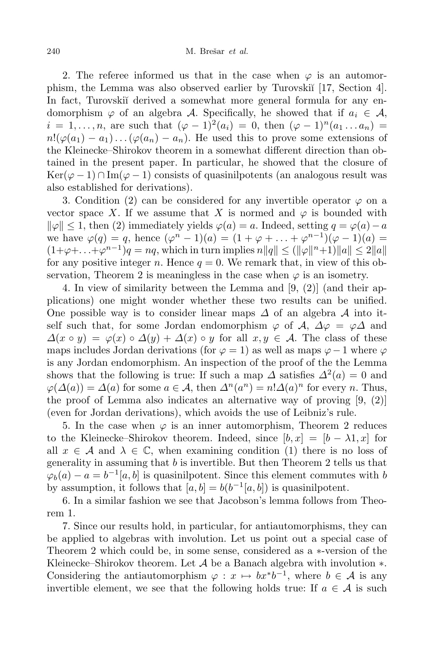2. The referee informed us that in the case when  $\varphi$  is an automorphism, the Lemma was also observed earlier by Turovski<sup>†</sup> [17, Section 4]. In fact, Turovskij derived a somewhat more general formula for any endomorphism  $\varphi$  of an algebra *A*. Specifically, he showed that if  $a_i \in A$ ,  $i = 1, \ldots, n$ , are such that  $(\varphi - 1)^2(a_i) = 0$ , then  $(\varphi - 1)^n(a_1 \ldots a_n) =$  $n! (\varphi(a_1) - a_1) \dots (\varphi(a_n) - a_n)$ . He used this to prove some extensions of the Kleinecke–Shirokov theorem in a somewhat different direction than obtained in the present paper. In particular, he showed that the closure of Ker( $\varphi$  − 1)  $\cap$  Im( $\varphi$  − 1) consists of quasinilpotents (an analogous result was also established for derivations).

3. Condition (2) can be considered for any invertible operator  $\varphi$  on a vector space X. If we assume that X is normed and  $\varphi$  is bounded with  $\|\varphi\| \leq 1$ , then (2) immediately yields  $\varphi(a) = a$ . Indeed, setting  $q = \varphi(a) - a$ we have  $\varphi(q) = q$ , hence  $(\varphi^{n} - 1)(a) = (1 + \varphi + \dots + \varphi^{n-1})(\varphi - 1)(a) =$  $(1+\varphi+\ldots+\varphi^{n-1})q = nq$ , which in turn implies  $n||q|| \leq (||\varphi||^n+1)||q|| \leq 2||q||$ for any positive integer *n*. Hence  $q = 0$ . We remark that, in view of this observation, Theorem 2 is meaningless in the case when  $\varphi$  is an isometry.

4. In view of similarity between the Lemma and [9, (2)] (and their applications) one might wonder whether these two results can be unified. One possible way is to consider linear maps *∆* of an algebra *A* into itself such that, for some Jordan endomorphism  $\varphi$  of  $\mathcal{A}, \Delta \varphi = \varphi \Delta$  and  $\Delta(x \circ y) = \varphi(x) \circ \Delta(y) + \Delta(x) \circ y$  for all  $x, y \in \mathcal{A}$ . The class of these maps includes Jordan derivations (for  $\varphi = 1$ ) as well as maps  $\varphi - 1$  where  $\varphi$ is any Jordan endomorphism. An inspection of the proof of the the Lemma shows that the following is true: If such a map  $\Delta$  satisfies  $\Delta^2(a) = 0$  and  $\varphi(\Delta(a)) = \Delta(a)$  for some *a* ∈ *A*, then  $\Delta^n(a^n) = n! \Delta(a)^n$  for every *n*. Thus, the proof of Lemma also indicates an alternative way of proving  $[9, (2)]$ (even for Jordan derivations), which avoids the use of Leibniz's rule.

5. In the case when  $\varphi$  is an inner automorphism, Theorem 2 reduces to the Kleinecke–Shirokov theorem. Indeed, since  $[b, x] = [b - \lambda 1, x]$  for all  $x \in A$  and  $\lambda \in \mathbb{C}$ , when examining condition (1) there is no loss of generality in assuming that *b* is invertible. But then Theorem 2 tells us that  $\varphi_b(a) - a = b^{-1}[a, b]$  is quasinilpotent. Since this element commutes with *b* by assumption, it follows that  $[a, b] = b(b^{-1}[a, b])$  is quasinilpotent.

6. In a similar fashion we see that Jacobson's lemma follows from Theorem 1.

7. Since our results hold, in particular, for antiautomorphisms, they can be applied to algebras with involution. Let us point out a special case of Theorem 2 which could be, in some sense, considered as a *∗*-version of the Kleinecke–Shirokov theorem. Let *A* be a Banach algebra with involution *∗*. Considering the antiautomorphism  $\varphi : x \mapsto bx * b^{-1}$ , where  $b \in \mathcal{A}$  is any invertible element, we see that the following holds true: If  $a \in \mathcal{A}$  is such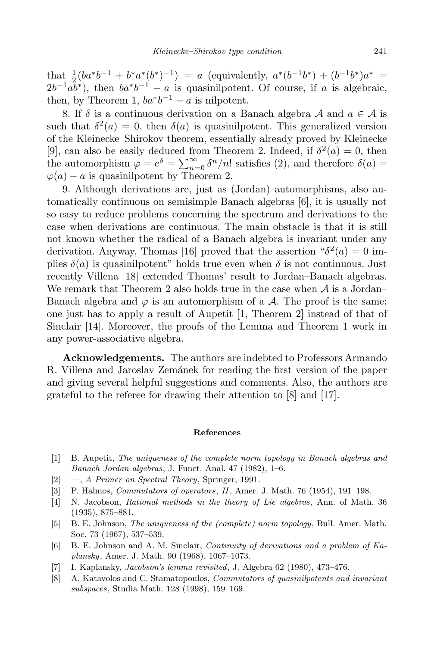that  $\frac{1}{2}(ba^*b^{-1} + b^*a^*(b^*)^{-1}) = a$  (equivalently,  $a^*(b^{-1}b^*) + (b^{-1}b^*)a^* =$  $2b^{-1}ab^*$ ), then  $ba^*b^{-1} - a$  is quasinilpotent. Of course, if *a* is algebraic, then, by Theorem 1,  $ba^*b^{-1} - a$  is nilpotent.

8. If  $\delta$  is a continuous derivation on a Banach algebra  $\mathcal A$  and  $a \in \mathcal A$  is such that  $\delta^2(a) = 0$ , then  $\delta(a)$  is quasinilpotent. This generalized version of the Kleinecke–Shirokov theorem, essentially already proved by Kleinecke [9], can also be easily deduced from Theorem 2. Indeed, if  $\delta^2(a) = 0$ , then the automorphism  $\varphi = e^{\delta} = \sum_{n=0}^{\infty} \delta^n/n!$  satisfies (2), and therefore  $\delta(a) =$  $\varphi(a) - a$  is quasinilpotent by Theorem 2.

9. Although derivations are, just as (Jordan) automorphisms, also automatically continuous on semisimple Banach algebras [6], it is usually not so easy to reduce problems concerning the spectrum and derivations to the case when derivations are continuous. The main obstacle is that it is still not known whether the radical of a Banach algebra is invariant under any derivation. Anyway, Thomas [16] proved that the assertion  $\theta^2(a) = 0$  implies  $\delta(a)$  is quasinilpotent" holds true even when  $\delta$  is not continuous. Just recently Villena [18] extended Thomas' result to Jordan–Banach algebras. We remark that Theorem 2 also holds true in the case when *A* is a Jordan– Banach algebra and  $\varphi$  is an automorphism of a  $\mathcal A$ . The proof is the same; one just has to apply a result of Aupetit [1, Theorem 2] instead of that of Sinclair [14]. Moreover, the proofs of the Lemma and Theorem 1 work in any power-associative algebra.

**Acknowledgements.** The authors are indebted to Professors Armando R. Villena and Jaroslav Zemánek for reading the first version of the paper and giving several helpful suggestions and comments. Also, the authors are grateful to the referee for drawing their attention to [8] and [17].

## **References**

- [1] B. Aupetit, *The uniqueness of the complete norm topology in Banach algebras and Banach Jordan algebras*, J. Funct. Anal. 47 (1982), 1–6.
- [2] —, *A Primer on Spectral Theory*, Springer, 1991.
- [3] P. Halmos, *Commutators of operators*, *II*, Amer. J. Math. 76 (1954), 191–198.
- [4] N. Jacobson, *Rational methods in the theory of Lie algebras*, Ann. of Math. 36 (1935), 875–881.
- [5] B. E. Johnson, *The uniqueness of the (complete) norm topology*, Bull. Amer. Math. Soc. 73 (1967), 537–539.
- [6] B. E. Johnson and A. M. Sinclair, *Continuity of derivations and a problem of Kaplansky*, Amer. J. Math. 90 (1968), 1067–1073.
- [7] I. Kaplansky, *Jacobson's lemma revisited*, J. Algebra 62 (1980), 473–476.
- [8] A. Katavolos and C. Stamatopoulos, *Commutators of quasinilpotents and invariant subspaces*, Studia Math. 128 (1998), 159–169.